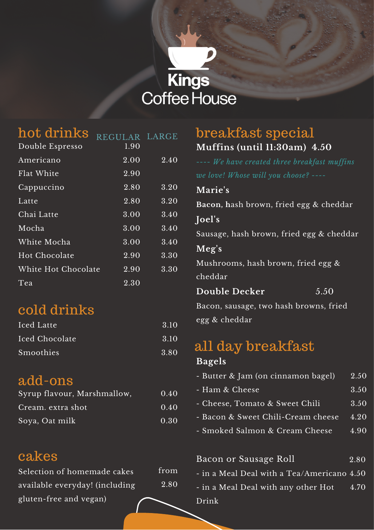# **Kings Coffee House**

| hot drinks          | REGULAR LARGE     |      |
|---------------------|-------------------|------|
| Double Espresso     | $\overline{1.90}$ |      |
| Americano           | 2.00              | 2.40 |
| Flat White          | 2.90              |      |
| Cappuccino          | 2.80              | 3.20 |
| Latte               | 2.80              | 3.20 |
| Chai Latte          | 3.00              | 3.40 |
| Mocha               | 3.00              | 3.40 |
| White Mocha         | 3.00              | 3.40 |
| Hot Chocolate       | 2.90              | 3.30 |
| White Hot Chocolate | 2.90              | 3.30 |
| Tea                 | $2.30\,$          |      |

## cold drinks

| Iced Latte     | 3.10 |
|----------------|------|
| Iced Chocolate | 3.10 |
| Smoothies      | 3.80 |

### add-ons

| Syrup flavour, Marshmallow, | 0.40 |
|-----------------------------|------|
| Cream. extra shot           | 0.40 |
| Soya, Oat milk              | 0.30 |

### cakes

| Selection of homemade cakes    | from |
|--------------------------------|------|
| available everyday! (including | 2.80 |
| gluten-free and vegan)         |      |

#### **Muffins (until 11:30am) 4.50** breakfast special

| ---- We have created three breakfast muffins |  |  |  |  |
|----------------------------------------------|--|--|--|--|
| we love! Whose will you choose? ----         |  |  |  |  |
| Marie's                                      |  |  |  |  |
| Bacon, hash brown, fried egg & cheddar       |  |  |  |  |
| Joel's                                       |  |  |  |  |
| Sausage, hash brown, fried egg & cheddar     |  |  |  |  |
| Meg's                                        |  |  |  |  |
| Mushrooms, hash brown, fried egg $\&$        |  |  |  |  |
| cheddar                                      |  |  |  |  |
| <b>Double Decker</b><br>$\overline{5.50}$    |  |  |  |  |
| Bacon, sausage, two hash browns, fried       |  |  |  |  |
| egg & cheddar                                |  |  |  |  |
| all day breakfast<br><b>Bagels</b>           |  |  |  |  |

|  |  |  |  |  | - Butter & Jam (on cinnamon bagel) |  | $\left 2.50\right $ |
|--|--|--|--|--|------------------------------------|--|---------------------|
|--|--|--|--|--|------------------------------------|--|---------------------|

- Ham & Cheese 3.50
- Cheese, Tomato & Sweet Chili 3.50
- Bacon & Sweet Chili-Cream cheese 4.20
- Smoked Salmon & Cream Cheese 4.90

| Bacon or Sausage Roll                                  | 2.80 |
|--------------------------------------------------------|------|
| - in a Meal Deal with a $\mathrm{Tea/A}$ mericano 4.50 |      |
| - in a Meal Deal with any other Hot                    | 4.70 |
| Drink                                                  |      |